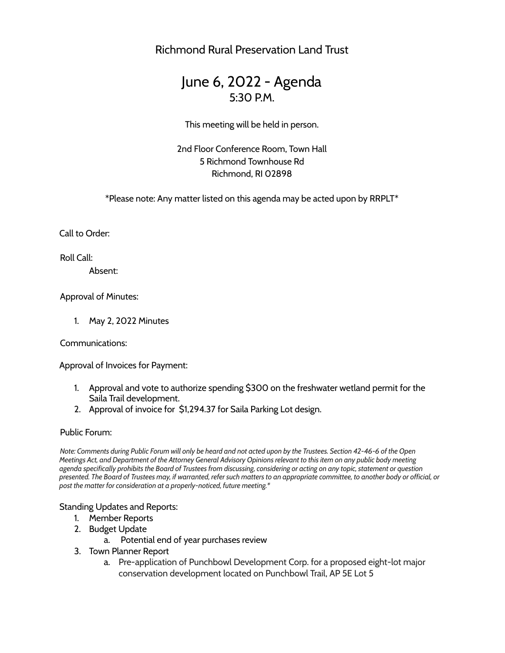Richmond Rural Preservation Land Trust

# June 6, 2022 - Agenda 5:30 P.M.

This meeting will be held in person.

2nd Floor Conference Room, Town Hall 5 Richmond Townhouse Rd Richmond, RI 02898

\*Please note: Any matter listed on this agenda may be acted upon by RRPLT\*

Call to Order:

Roll Call:

Absent:

Approval of Minutes:

1. May 2, 2022 Minutes

Communications:

Approval of Invoices for Payment:

- 1. Approval and vote to authorize spending \$300 on the freshwater wetland permit for the Saila Trail development.
- 2. Approval of invoice for \$1,294.37 for Saila Parking Lot design.

### Public Forum:

Note: Comments during Public Forum will only be heard and not acted upon by the Trustees. Section 42-46-6 of the Open Meetings Act, and Department of the Attorney General Advisory Opinions relevant to this item on any public body meeting agenda specifically prohibits the Board of Trustees from discussing, considering or acting on any topic, statement or question presented. The Board of Trustees may, if warranted, refer such matters to an appropriate committee, to another body or official, or *post the matter for consideration at a properly-noticed, future meeting.\**

### Standing Updates and Reports:

- 1. Member Reports
- 2. Budget Update
	- a. Potential end of year purchases review
- 3. Town Planner Report
	- a. Pre-application of Punchbowl Development Corp. for a proposed eight-lot major conservation development located on Punchbowl Trail, AP 5E Lot 5